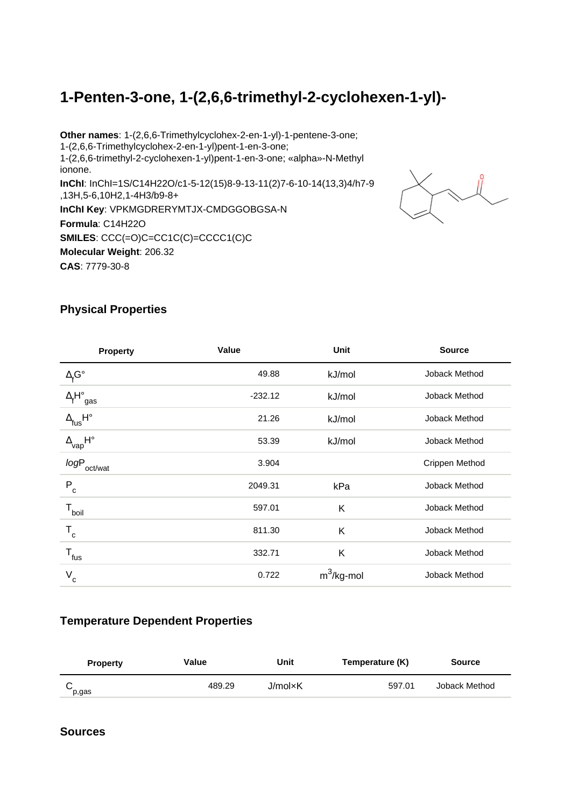# **1-Penten-3-one, 1-(2,6,6-trimethyl-2-cyclohexen-1-yl)-**

**Other names**: 1-(2,6,6-Trimethylcyclohex-2-en-1-yl)-1-pentene-3-one; 1-(2,6,6-Trimethylcyclohex-2-en-1-yl)pent-1-en-3-one; 1-(2,6,6-trimethyl-2-cyclohexen-1-yl)pent-1-en-3-one; «alpha»-N-Methyl ionone. **InChI**: InChI=1S/C14H22O/c1-5-12(15)8-9-13-11(2)7-6-10-14(13,3)4/h7-9 ,13H,5-6,10H2,1-4H3/b9-8+ **InChI Key**: VPKMGDRERYMTJX-CMDGGOBGSA-N **Formula**: C14H22O **SMILES**: CCC(=O)C=CC1C(C)=CCCC1(C)C **Molecular Weight**: 206.32 **CAS**: 7779-30-8



### **Physical Properties**

| <b>Property</b>                              | Value     | Unit          | <b>Source</b>  |
|----------------------------------------------|-----------|---------------|----------------|
| $\Delta_f$ G°                                | 49.88     | kJ/mol        | Joback Method  |
| $\Delta_f H^\circ_{\text{ gas}}$             | $-232.12$ | kJ/mol        | Joback Method  |
| $\Delta_{\mathsf{fus}}\mathsf{H}^\circ$      | 21.26     | kJ/mol        | Joback Method  |
| $\Delta_{\mathsf{vap}}\mathsf{H}^\mathsf{o}$ | 53.39     | kJ/mol        | Joback Method  |
| <i>logP</i> <sub>oct/wat</sub>               | 3.904     |               | Crippen Method |
| $P_{c}$                                      | 2049.31   | kPa           | Joback Method  |
| $T_{\text{boil}}$                            | 597.01    | K             | Joback Method  |
| $T_c$                                        | 811.30    | K             | Joback Method  |
| $\mathsf{T}_{\mathsf{fus}}$                  | 332.71    | K             | Joback Method  |
| V<br>c                                       | 0.722     | $m^3$ /kg-mol | Joback Method  |

#### **Temperature Dependent Properties**

| <b>Property</b> | Value  | Unit    | Temperature (K) | <b>Source</b> |
|-----------------|--------|---------|-----------------|---------------|
| p,gas           | 489.29 | J/mol×K | 597.01          | Joback Method |

#### **Sources**